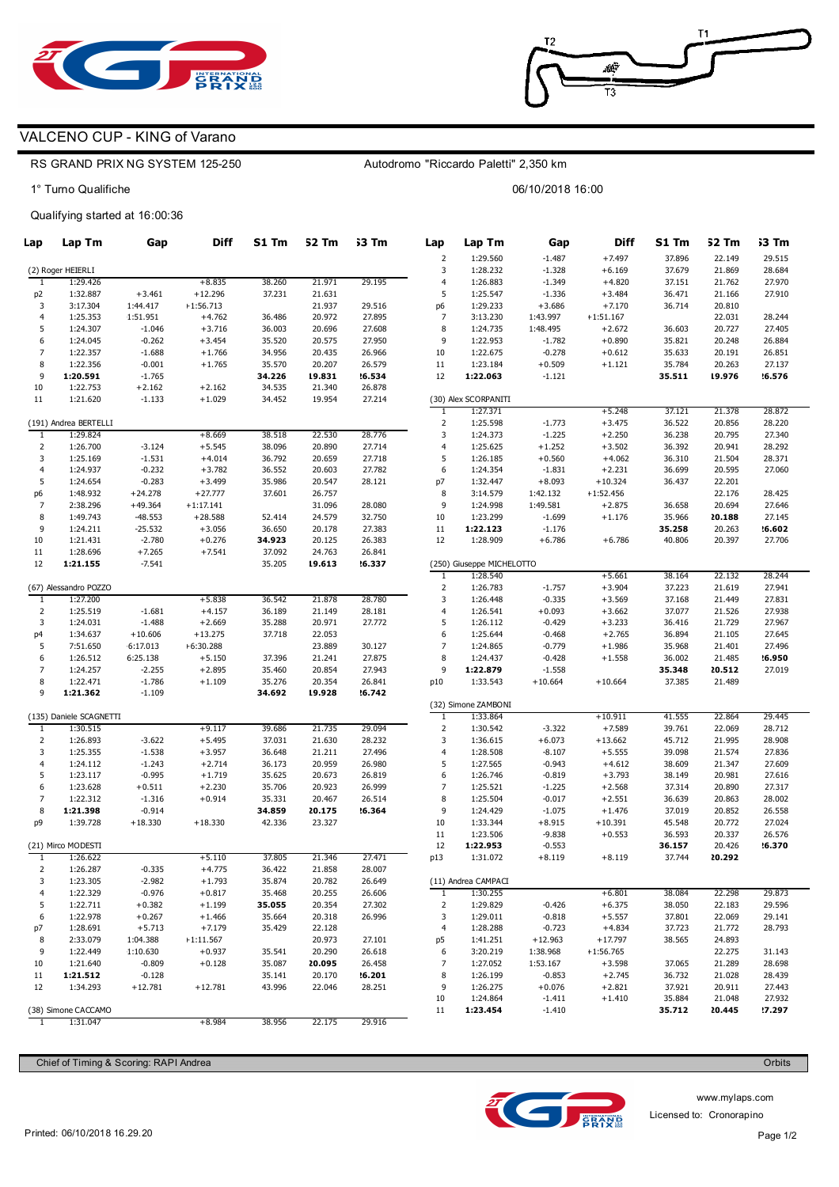

## VALCENO CUP - KING of Varano

### RS GRAND PRIX NG SYSTEM 125-250

1° Turno Qualifiche

## Qualifying started at 16:00:36

| Lap                  | Lap Tm                  | Gap                    | <b>Diff</b>          | S1 Tm            | 52 Tm            | 53 Tm            | Lap                            | Lap Tm                    | Gap                  | Diff                 | S1 Tm            | 52 Tm            | 53 Tm            |
|----------------------|-------------------------|------------------------|----------------------|------------------|------------------|------------------|--------------------------------|---------------------------|----------------------|----------------------|------------------|------------------|------------------|
|                      |                         |                        |                      |                  |                  |                  | $\mathbf 2$                    | 1:29.560                  | $-1.487$             | $+7.497$             | 37.896           | 22.149           | 29.515           |
|                      | (2) Roger HEIERLI       |                        |                      |                  |                  |                  | 3                              | 1:28.232                  | $-1.328$             | $+6.169$             | 37.679           | 21.869           | 28.684           |
| 1                    | 1:29.426                |                        | $+8.835$             | 38.260           | 21.971           | 29.195           | $\overline{4}$                 | 1:26.883                  | $-1.349$             | $+4.820$             | 37.151           | 21.762           | 27.970           |
| p <sub>2</sub>       | 1:32.887                | $+3.461$               | $+12.296$            | 37.231           | 21.631           |                  | 5                              | 1:25.547                  | $-1.336$             | $+3.484$             | 36.471           | 21.166           | 27.910           |
| 3                    | 3:17.304                | 1:44.417               | $+1:56.713$          |                  | 21.937           | 29.516           | p6                             | 1:29.233                  | $+3.686$             | $+7.170$             | 36.714           | 20.810           |                  |
| 4                    | 1:25.353                | 1:51.951               | $+4.762$             | 36.486           | 20.972           | 27.895           | $\overline{7}$                 | 3:13.230                  | 1:43.997             | $+1:51.167$          |                  | 22.031           | 28.244           |
| 5                    | 1:24.307                | $-1.046$               | $+3.716$             | 36.003           | 20.696           | 27.608           | 8                              | 1:24.735                  | 1:48.495             | $+2.672$             | 36.603           | 20.727           | 27.405           |
| 6                    | 1:24.045                | $-0.262$               | $+3.454$             | 35.520           | 20.575           | 27.950           | 9                              | 1:22.953                  | $-1.782$             | $+0.890$             | 35.821           | 20.248           | 26.884           |
| 7                    | 1:22.357                | $-1.688$               | $+1.766$             | 34.956           | 20.435           | 26.966           | 10                             | 1:22.675                  | $-0.278$             | $+0.612$             | 35.633           | 20.191           | 26.851           |
| 8                    | 1:22.356                | $-0.001$               | $+1.765$             | 35.570           | 20.207           | 26.579           | 11                             | 1:23.184                  | $+0.509$             | $+1.121$             | 35.784           | 20.263           | 27.137           |
| 9                    | 1:20.591                | $-1.765$               |                      | 34.226           | 19.831           | 16.534           | 12                             | 1:22.063                  | $-1.121$             |                      | 35.511           | 19.976           | '6.576           |
| 10                   | 1:22.753                | $+2.162$               | $+2.162$             | 34.535           | 21.340           | 26.878           |                                |                           |                      |                      |                  |                  |                  |
| 11                   | 1:21.620                | $-1.133$               | $+1.029$             | 34.452           | 19.954           | 27.214           |                                | (30) Alex SCORPANITI      |                      |                      |                  |                  |                  |
|                      | (191) Andrea BERTELLI   |                        |                      |                  |                  |                  | $\mathbf{1}$<br>$\overline{2}$ | 1:27.371<br>1:25.598      |                      | $+5.248$             | 37.121           | 21.378           | 28.872           |
|                      |                         |                        |                      |                  |                  |                  |                                |                           | $-1.773$             | $+3.475$             | 36.522           | 20.856           | 28.220           |
| $\mathbf{1}$         | 1:29.824                |                        | $+8.669$             | 38.518           | 22.530           | 28.776           | 3<br>$\overline{4}$            | 1:24.373                  | $-1.225$             | $+2.250$             | 36.238           | 20.795           | 27.340           |
| $\overline{2}$<br>3  | 1:26.700<br>1:25.169    | $-3.124$               | $+5.545$             | 38.096<br>36.792 | 20.890           | 27.714           | 5                              | 1:25.625<br>1:26.185      | $+1.252$<br>$+0.560$ | $+3.502$             | 36.392<br>36.310 | 20.941           | 28.292           |
| $\overline{4}$       | 1:24.937                | $-1.531$<br>$-0.232$   | $+4.014$<br>$+3.782$ | 36.552           | 20.659<br>20.603 | 27.718<br>27.782 | 6                              | 1:24.354                  | $-1.831$             | $+4.062$<br>$+2.231$ | 36.699           | 21.504<br>20.595 | 28.371<br>27.060 |
| 5                    | 1:24.654                | $-0.283$               | $+3.499$             | 35.986           | 20.547           | 28.121           | p7                             | 1:32.447                  | $+8.093$             | $+10.324$            | 36.437           | 22.201           |                  |
|                      | 1:48.932                |                        | $+27.777$            | 37.601           | 26.757           |                  | 8                              | 3:14.579                  |                      | $+1:52.456$          |                  | 22.176           | 28.425           |
| p6<br>$\overline{7}$ | 2:38.296                | $+24.278$<br>$+49.364$ | $+1:17.141$          |                  | 31.096           | 28.080           | 9                              | 1:24.998                  | 1:42.132<br>1:49.581 | $+2.875$             | 36.658           | 20.694           | 27.646           |
| 8                    | 1:49.743                | $-48.553$              | $+28.588$            | 52.414           | 24.579           | 32.750           | 10                             | 1:23.299                  | $-1.699$             | $+1.176$             | 35.966           | 20.188           | 27.145           |
| 9                    | 1:24.211                | $-25.532$              | $+3.056$             | 36.650           | 20.178           | 27.383           | 11                             | 1:22.123                  | $-1.176$             |                      | 35.258           | 20.263           | .6602            |
| 10                   | 1:21.431                | $-2.780$               | $+0.276$             | 34.923           | 20.125           | 26.383           | 12                             | 1:28.909                  | $+6.786$             | $+6.786$             | 40.806           | 20.397           | 27.706           |
| 11                   | 1:28.696                | $+7.265$               | $+7.541$             | 37.092           | 24.763           | 26.841           |                                |                           |                      |                      |                  |                  |                  |
| 12                   | 1:21.155                | $-7.541$               |                      | 35.205           | 19.613           | 16.337           |                                | (250) Giuseppe MICHELOTTO |                      |                      |                  |                  |                  |
|                      |                         |                        |                      |                  |                  |                  | 1                              | 1:28.540                  |                      | $+5.661$             | 38.164           | 22.132           | 28.244           |
|                      | (67) Alessandro POZZO   |                        |                      |                  |                  |                  | $\mathbf 2$                    | 1:26.783                  | $-1.757$             | $+3.904$             | 37.223           | 21.619           | 27.941           |
| 1                    | 1:27.200                |                        | $+5.838$             | 36.542           | 21.878           | 28.780           | 3                              | 1:26.448                  | $-0.335$             | $+3.569$             | 37.168           | 21.449           | 27.831           |
| $\overline{2}$       | 1:25.519                | $-1.681$               | $+4.157$             | 36.189           | 21.149           | 28.181           | $\overline{4}$                 | 1:26.541                  | $+0.093$             | $+3.662$             | 37.077           | 21.526           | 27.938           |
| 3                    | 1:24.031                | $-1.488$               | $+2.669$             | 35.288           | 20.971           | 27.772           | 5                              | 1:26.112                  | $-0.429$             | $+3.233$             | 36.416           | 21.729           | 27.967           |
| p4                   | 1:34.637                | $+10.606$              | $+13.275$            | 37.718           | 22.053           |                  | 6                              | 1:25.644                  | $-0.468$             | $+2.765$             | 36.894           | 21.105           | 27.645           |
| 5                    | 7:51.650                | 6:17.013               | +6:30.288            |                  | 23.889           | 30.127           | $\overline{7}$                 | 1:24.865                  | $-0.779$             | $+1.986$             | 35.968           | 21.401           | 27.496           |
| 6                    | 1:26.512                | 6:25.138               | $+5.150$             | 37.396           | 21.241           | 27.875           | 8                              | 1:24.437                  | $-0.428$             | $+1.558$             | 36.002           | 21.485           | '6.950           |
| 7                    | 1:24.257                | $-2.255$               | $+2.895$             | 35.460           | 20.854           | 27.943           | 9                              | 1:22.879                  | $-1.558$             |                      | 35.348           | 20.512           | 27.019           |
| 8                    | 1:22.471                | $-1.786$               | $+1.109$             | 35.276           | 20.354           | 26.841           | p10                            | 1:33.543                  | $+10.664$            | $+10.664$            | 37.385           | 21.489           |                  |
| 9                    | 1:21.362                | $-1.109$               |                      | 34.692           | 19.928           | 16.742           |                                |                           |                      |                      |                  |                  |                  |
|                      |                         |                        |                      |                  |                  |                  |                                | (32) Simone ZAMBONI       |                      |                      |                  |                  |                  |
|                      | (135) Daniele SCAGNETTI |                        |                      |                  |                  |                  | 1                              | 1:33.864                  |                      | $+10.911$            | 41.555           | 22.864           | 29.445           |
| 1                    | 1:30.515                |                        | $+9.117$             | 39.686           | 21.735           | 29.094           | $\overline{2}$                 | 1:30.542                  | $-3.322$             | $+7.589$             | 39.761           | 22.069           | 28.712           |
| $\overline{2}$       | 1:26.893                | $-3.622$               | $+5.495$             | 37.031           | 21.630           | 28.232           | 3                              | 1:36.615                  | $+6.073$             | $+13.662$            | 45.712           | 21.995           | 28.908           |
| 3                    | 1:25.355                | $-1.538$               | $+3.957$             | 36.648           | 21.211           | 27.496           | $\overline{4}$                 | 1:28.508                  | $-8.107$             | $+5.555$             | 39.098           | 21.574           | 27.836           |
| $\overline{4}$       | 1:24.112                | $-1.243$               | $+2.714$             | 36.173           | 20.959           | 26.980           | 5                              | 1:27.565                  | $-0.943$             | $+4.612$             | 38.609           | 21.347           | 27.609           |
| 5                    | 1:23.117                | $-0.995$               | $+1.719$             | 35.625           | 20.673           | 26.819           | 6                              | 1:26.746                  | $-0.819$             | $+3.793$             | 38.149           | 20.981           | 27.616           |
| 6                    | 1:23.628                | $+0.511$               | $+2.230$             | 35.706           | 20.923           | 26.999           | $\overline{7}$                 | 1:25.521                  | $-1.225$             | $+2.568$             | 37.314           | 20.890           | 27.317           |
| 7                    | 1:22.312                | $-1.316$               | $+0.914$             | 35.331           | 20.467           | 26.514           | 8                              | 1:25.504                  | $-0.017$             | $+2.551$             | 36.639           | 20.863           | 28.002           |
| 8                    | 1:21.398                | $-0.914$               |                      | 34.859           | 20.175           | .6.364           | 9                              | 1:24.429                  | $-1.075$             | $+1.476$             | 37.019           | 20.852           | 26.558           |
| p9                   | 1:39.728                | $+18.330$              | $+18.330$            | 42.336           | 23.327           |                  | 10                             | 1:33.344                  | $+8.915$             | $+10.391$            | 45.548           | 20.772           | 27.024           |
|                      |                         |                        |                      |                  |                  |                  | 11                             | 1:23.506                  | $-9.838$             | $+0.553$             | 36.593           | 20.337           | 26.576           |
|                      | (21) Mirco MODESTI      |                        |                      |                  |                  |                  | 12                             | 1:22.953                  | $-0.553$             |                      | 36.157           | 20.426           | 16.370           |
| 1                    | 1:26.622                |                        | $+5.110$             | 37.805           | 21.346           | 27.471           | p13                            | 1:31.072                  | $+8.119$             | $+8.119$             | 37.744           | 20.292           |                  |
| 2                    | 1:26.287                | -0.335                 | $+4.775$             | 36.422           | 21.858           | 28.007           |                                |                           |                      |                      |                  |                  |                  |
| 3                    | 1:23.305                | $-2.982$               | $+1.793$             | 35.874           | 20.782           | 26.649           |                                | (11) Andrea CAMPACI       |                      |                      |                  |                  |                  |
| $\overline{4}$       | 1:22.329                | $-0.976$               | $+0.817$             | 35.468           | 20.255           | 26.606           | $\mathbf{1}$                   | 1:30.255                  |                      | $+6.801$             | 38.084           | 22.298           | 29.873           |
| 5                    | 1:22.711                | $+0.382$               | $+1.199$             | 35.055           | 20.354           | 27.302           | $\overline{2}$                 | 1:29.829                  | $-0.426$             | $+6.375$             | 38.050           | 22.183           | 29.596           |
| 6                    | 1:22.978                | $+0.267$               | $+1.466$             | 35.664           | 20.318           | 26.996           | 3                              | 1:29.011                  | $-0.818$             | $+5.557$             | 37.801           | 22.069           | 29.141           |
| p7                   | 1:28.691                | $+5.713$               | $+7.179$             | 35.429           | 22.128           |                  | $\overline{4}$                 | 1:28.288                  | $-0.723$             | $+4.834$             | 37.723           | 21.772           | 28.793           |
| 8                    | 2:33.079                | 1:04.388               | +1:11.567            |                  | 20.973           | 27.101           | p5                             | 1:41.251                  | $+12.963$            | $+17.797$            | 38.565           | 24.893           |                  |
| 9                    | 1:22.449                | 1:10.630               | $+0.937$             | 35.541           | 20.290           | 26.618           | 6                              | 3:20.219                  | 1:38.968             | $+1:56.765$          |                  | 22.275           | 31.143           |
| 10                   | 1:21.640                | $-0.809$               | $+0.128$             | 35.087           | 20.095           | 26.458           | 7                              | 1:27.052                  | 1:53.167             | $+3.598$             | 37.065           | 21.289           | 28.698           |
| 11                   | 1:21.512                | $-0.128$               |                      | 35.141           | 20.170           | 201              | 8                              | 1:26.199                  | $-0.853$             | $+2.745$             | 36.732           | 21.028           | 28.439           |
| 12                   | 1:34.293                | $+12.781$              | $+12.781$            | 43.996           | 22.046           | 28.251           | 9                              | 1:26.275                  | $+0.076$             | $+2.821$             | 37.921           | 20.911           | 27.443           |
|                      |                         |                        |                      |                  |                  |                  | 10                             | 1:24.864                  | $-1.411$             | $+1.410$             | 35.884           | 21.048           | 27.932           |
|                      | (38) Simone CACCAMO     |                        |                      |                  |                  |                  | 11                             | 1:23.454                  | $-1.410$             |                      | 35.712           | 20.445           | 2.297            |
| 1                    | 1:31.047                |                        | $+8.984$             | 38.956           | 22.175           | 29.916           |                                |                           |                      |                      |                  |                  |                  |

Autodromo "Riccardo Paletti" 2,350 km

06/10/2018 16:00

Chief of Timing & Scoring: RAPI Andrea Orbits and Chief of Timing & Scoring: RAPI Andrea Orbits



www.mylaps.com Licensed to: Cronorapino

 $T1$  $T<sub>2</sub>$ 一般 T3